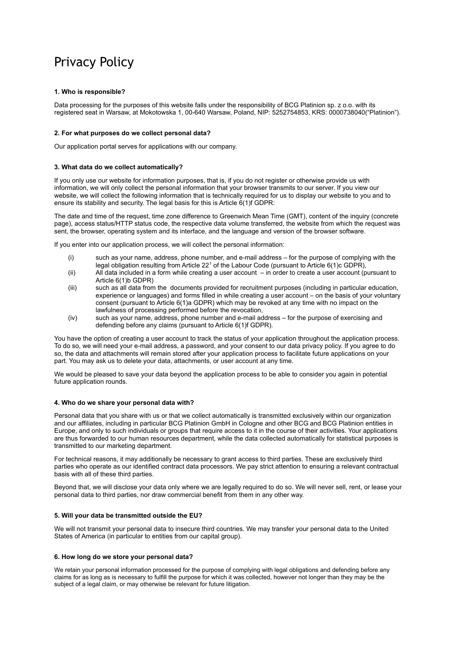# Privacy Policy

## **1. Who is responsible?**

Data processing for the purposes of this website falls under the responsibility of BCG Platinion sp. z o.o. with its registered seat in Warsaw, at Mokotowska 1, 00-640 Warsaw, Poland, NIP: 5252754853, KRS: 0000738040("Platinion").

# **2. For what purposes do we collect personal data?**

Our application portal serves for applications with our company.

# **3. What data do we collect automatically?**

If you only use our website for information purposes, that is, if you do not register or otherwise provide us with information, we will only collect the personal information that your browser transmits to our server. If you view our website, we will collect the following information that is technically required for us to display our website to you and to ensure its stability and security. The legal basis for this is Article 6(1)f GDPR:

The date and time of the request, time zone difference to Greenwich Mean Time (GMT), content of the inquiry (concrete page), access status/HTTP status code, the respective data volume transferred, the website from which the request was sent, the browser, operating system and its interface, and the language and version of the browser software.

If you enter into our application process, we will collect the personal information:

- (i) such as your name, address, phone number, and e-mail address for the purpose of complying with the legal obligation resulting from Article 22<sup>1</sup> of the Labour Code (pursuant to Article 6(1)c GDPR),
- (ii) All data included in a form while creating a user account in order to create a user account (pursuant to Article 6(1)b GDPR)
- (iii) such as all data from the documents provided for recruitment purposes (including in particular education, experience or languages) and forms filled in while creating a user account – on the basis of your voluntary consent (pursuant to Article 6(1)a GDPR) which may be revoked at any time with no impact on the lawfulness of processing performed before the revocation,
- (iv) such as your name, address, phone number and e-mail address for the purpose of exercising and defending before any claims (pursuant to Article 6(1)f GDPR).

You have the option of creating a user account to track the status of your application throughout the application process. To do so, we will need your e-mail address, a password, and your consent to our data privacy policy. If you agree to do so, the data and attachments will remain stored after your application process to facilitate future applications on your part. You may ask us to delete your data, attachments, or user account at any time.

We would be pleased to save your data beyond the application process to be able to consider you again in potential future application rounds.

### **4. Who do we share your personal data with?**

Personal data that you share with us or that we collect automatically is transmitted exclusively within our organization and our affiliates, including in particular BCG Platinion GmbH in Cologne and other BCG and BCG Platinion entities in Europe, and only to such individuals or groups that require access to it in the course of their activities. Your applications are thus forwarded to our human resources department, while the data collected automatically for statistical purposes is transmitted to our marketing department.

For technical reasons, it may additionally be necessary to grant access to third parties. These are exclusively third parties who operate as our identified contract data processors. We pay strict attention to ensuring a relevant contractual basis with all of these third parties.

Beyond that, we will disclose your data only where we are legally required to do so. We will never sell, rent, or lease your personal data to third parties, nor draw commercial benefit from them in any other way.

#### **5. Will your data be transmitted outside the EU?**

We will not transmit your personal data to insecure third countries. We may transfer your personal data to the United States of America (in particular to entities from our capital group).

#### **6. How long do we store your personal data?**

We retain your personal information processed for the purpose of complying with legal obligations and defending before any claims for as long as is necessary to fulfill the purpose for which it was collected, however not longer than they may be the subject of a legal claim, or may otherwise be relevant for future litigation.